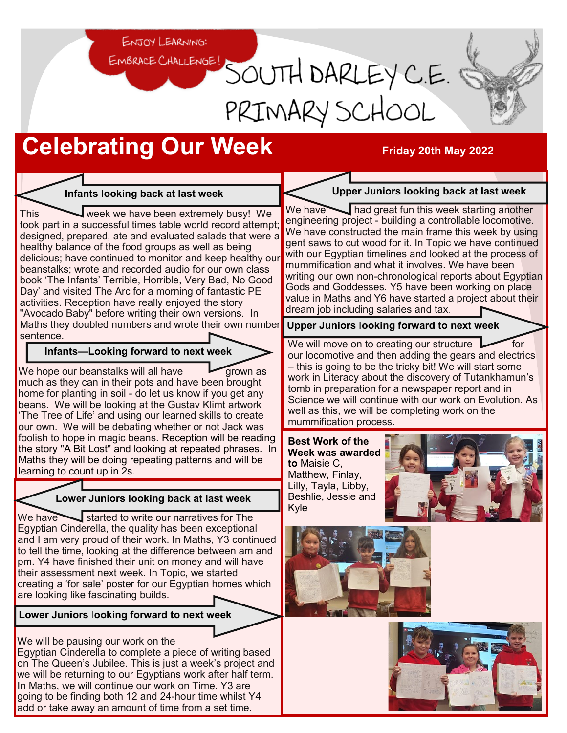ENJOY LEARNING:

# EMBRACE CHALLENGE! SOUTH DARLEY C.E. PRIMARY SCHOOL

## **Celebrating Our Week Friday 20th May 2022**

#### **Infants looking back at last week**

This week we have been extremely busy! We took part in a successful times table world record attempt; designed, prepared, ate and evaluated salads that were a healthy balance of the food groups as well as being delicious; have continued to monitor and keep healthy our beanstalks; wrote and recorded audio for our own class book 'The Infants' Terrible, Horrible, Very Bad, No Good Day' and visited The Arc for a morning of fantastic PE activities. Reception have really enjoyed the story "Avocado Baby" before writing their own versions. In Maths they doubled numbers and wrote their own number sentence.

**Infants—Looking forward to next week**

We hope our beanstalks will all have  $\overline{\phantom{a}}$  grown as much as they can in their pots and have been brought home for planting in soil - do let us know if you get any beans. We will be looking at the Gustav Klimt artwork 'The Tree of Life' and using our learned skills to create our own. We will be debating whether or not Jack was foolish to hope in magic beans. Reception will be reading the story "A Bit Lost" and looking at repeated phrases. In Maths they will be doing repeating patterns and will be learning to count up in 2s.

### **Lower Juniors looking back at last week**

We have  $\sim$  started to write our narratives for The Egyptian Cinderella, the quality has been exceptional and I am very proud of their work. In Maths, Y3 continued to tell the time, looking at the difference between am and pm. Y4 have finished their unit on money and will have their assessment next week. In Topic, we started creating a 'for sale' poster for our Egyptian homes which are looking like fascinating builds.

**Lower Juniors looking forward to next week**

We will be pausing our work on the Egyptian Cinderella to complete a piece of writing based on The Queen's Jubilee. This is just a week's project and we will be returning to our Egyptians work after half term. In Maths, we will continue our work on Time. Y3 are going to be finding both 12 and 24-hour time whilst Y4 add or take away an amount of time from a set time.

#### **Upper Juniors looking back at last week**

We have had great fun this week starting another engineering project - building a controllable locomotive. We have constructed the main frame this week by using gent saws to cut wood for it. In Topic we have continued with our Egyptian timelines and looked at the process of mummification and what it involves. We have been writing our own non-chronological reports about Egyptian Gods and Goddesses. Y5 have been working on place value in Maths and Y6 have started a project about their dream job including salaries and tax.

**Upper Juniors looking forward to next week**

We will move on to creating our structure  $\triangleright$  for our locomotive and then adding the gears and electrics – this is going to be the tricky bit! We will start some work in Literacy about the discovery of Tutankhamun's tomb in preparation for a newspaper report and in Science we will continue with our work on Evolution. As well as this, we will be completing work on the mummification process.

**Best Work of the Week was awarded to** Maisie C, Matthew, Finlay, Lilly, Tayla, Libby, Beshlie, Jessie and Kyle